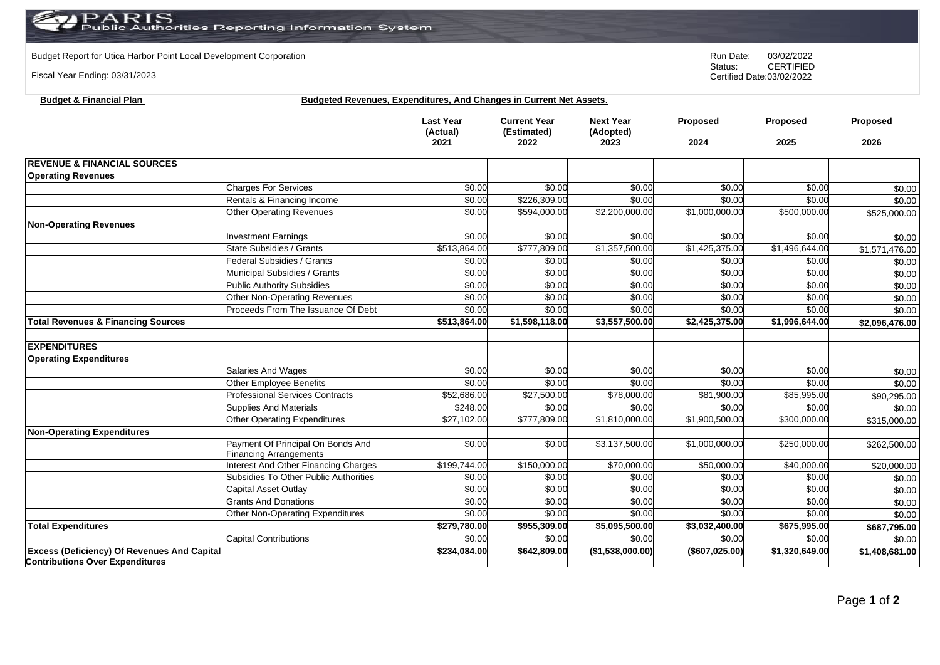## $\mathcal{P} \text{ARIS} \ \text{invariant}$ ublic Authorities Reporting Information System  $\mathsf{P}\mathsf{\Delta}$

**Budget & Financial Plan Budgeted Revenues, Expenditures, And Changes in Current Net Assets**.

Budget Report for Utica Harbor Point Local Development Corporation **Run Date:** 03/02/2022<br>Status: CERTIFIED

Fiscal Year Ending: 03/31/2023

**Contributions Over Expenditures**

CERTIFIED Certified Date:03/02/2022

|                                                    |                                                                    | <b>Last Year</b><br>(Actual)<br>2021 | <b>Current Year</b><br>(Estimated)<br>2022 | <b>Next Year</b><br>(Adopted)<br>2023 | Proposed<br>2024 | <b>Proposed</b><br>2025  | Proposed<br>2026 |
|----------------------------------------------------|--------------------------------------------------------------------|--------------------------------------|--------------------------------------------|---------------------------------------|------------------|--------------------------|------------------|
| <b>REVENUE &amp; FINANCIAL SOURCES</b>             |                                                                    |                                      |                                            |                                       |                  |                          |                  |
| <b>Operating Revenues</b>                          |                                                                    |                                      |                                            |                                       |                  |                          |                  |
|                                                    | <b>Charges For Services</b>                                        | \$0.00                               | \$0.00                                     | \$0.00                                | \$0.00           | \$0.00                   | \$0.00           |
|                                                    | Rentals & Financing Income                                         | \$0.00                               | \$226,309.00                               | \$0.00                                | \$0.00           | \$0.00                   | \$0.00           |
|                                                    | <b>Other Operating Revenues</b>                                    | \$0.00                               | \$594,000.00                               | \$2,200,000.00                        | \$1,000,000.00   | \$500,000.00             | \$525,000.00     |
| <b>Non-Operating Revenues</b>                      |                                                                    |                                      |                                            |                                       |                  |                          |                  |
|                                                    | <b>Investment Earnings</b>                                         | \$0.00                               | \$0.00                                     | \$0.00                                | \$0.00           | \$0.00                   | \$0.00           |
|                                                    | State Subsidies / Grants                                           | \$513,864.00                         | \$777,809.00                               | \$1,357,500.00                        | \$1,425,375.00   | \$1,496,644.00           | \$1,571,476.00   |
|                                                    | Federal Subsidies / Grants                                         | \$0.00                               | \$0.00                                     | \$0.00                                | \$0.00           | \$0.00                   | \$0.00           |
|                                                    | Municipal Subsidies / Grants                                       | \$0.00                               | \$0.00                                     | \$0.00                                | \$0.00           | \$0.00                   | \$0.00           |
|                                                    | <b>Public Authority Subsidies</b>                                  | \$0.00                               | \$0.00                                     | \$0.00                                | \$0.00           | \$0.00                   | \$0.00           |
|                                                    | <b>Other Non-Operating Revenues</b>                                | \$0.00                               | \$0.00                                     | \$0.00                                | \$0.00           | \$0.00                   | \$0.00           |
|                                                    | Proceeds From The Issuance Of Debt                                 | \$0.00                               | \$0.00                                     | \$0.00                                | \$0.00           | \$0.00                   | \$0.00           |
| <b>Total Revenues &amp; Financing Sources</b>      |                                                                    | \$513,864.00                         | \$1,598,118.00                             | \$3,557,500.00                        | \$2,425,375.00   | \$1,996,644.00           | \$2,096,476.00   |
| <b>EXPENDITURES</b>                                |                                                                    |                                      |                                            |                                       |                  |                          |                  |
| <b>Operating Expenditures</b>                      |                                                                    |                                      |                                            |                                       |                  |                          |                  |
|                                                    | Salaries And Wages                                                 | \$0.00                               | \$0.00                                     | \$0.00                                | \$0.00           | \$0.00                   | \$0.00           |
|                                                    | <b>Other Employee Benefits</b>                                     | \$0.00                               | \$0.00                                     | \$0.00                                | \$0.00           | \$0.00                   | \$0.00           |
|                                                    | <b>Professional Services Contracts</b>                             | \$52,686.00                          | \$27,500.00                                | \$78,000.00                           | \$81,900.00      | \$85,995.00              | \$90,295.00      |
|                                                    | <b>Supplies And Materials</b>                                      | \$248.00                             | \$0.00                                     | \$0.00                                | \$0.00           | \$0.00                   | \$0.00           |
|                                                    | <b>Other Operating Expenditures</b>                                | \$27,102.00                          | \$777,809.00                               | \$1,810,000.00                        | \$1,900,500.00   | \$300,000.00             | \$315,000.00     |
| <b>Non-Operating Expenditures</b>                  |                                                                    |                                      |                                            |                                       |                  |                          |                  |
|                                                    | Payment Of Principal On Bonds And<br><b>Financing Arrangements</b> | \$0.00                               | \$0.00                                     | \$3,137,500.00                        | \$1,000,000.00   | $\overline{$250,000.00}$ | \$262,500.00     |
|                                                    | <b>Interest And Other Financing Charges</b>                        | \$199,744.00                         | \$150,000.00                               | \$70,000.00                           | \$50,000.00      | \$40,000.00              | \$20,000.00      |
|                                                    | Subsidies To Other Public Authorities                              | \$0.00                               | \$0.00                                     | \$0.00                                | \$0.00           | \$0.00                   | \$0.00           |
|                                                    | Capital Asset Outlay                                               | \$0.00                               | \$0.00                                     | \$0.00                                | \$0.00           | \$0.00                   | \$0.00           |
|                                                    | <b>Grants And Donations</b>                                        | \$0.00                               | \$0.00                                     | \$0.00                                | \$0.00           | \$0.00                   | \$0.00           |
|                                                    | Other Non-Operating Expenditures                                   | \$0.00                               | \$0.00                                     | \$0.00                                | \$0.00           | \$0.00                   | \$0.00           |
| <b>Total Expenditures</b>                          |                                                                    | \$279,780.00                         | \$955,309.00                               | \$5,095,500.00                        | \$3,032,400.00   | \$675,995.00             | \$687,795.00     |
|                                                    | <b>Capital Contributions</b>                                       | \$0.00                               | \$0.00                                     | \$0.00                                | \$0.00           | \$0.00                   | \$0.00           |
| <b>Excess (Deficiency) Of Revenues And Capital</b> |                                                                    | \$234,084.00                         | \$642,809.00                               | (\$1,538,000.00)                      | (\$607,025.00)   | \$1,320,649.00           | \$1,408,681.00   |